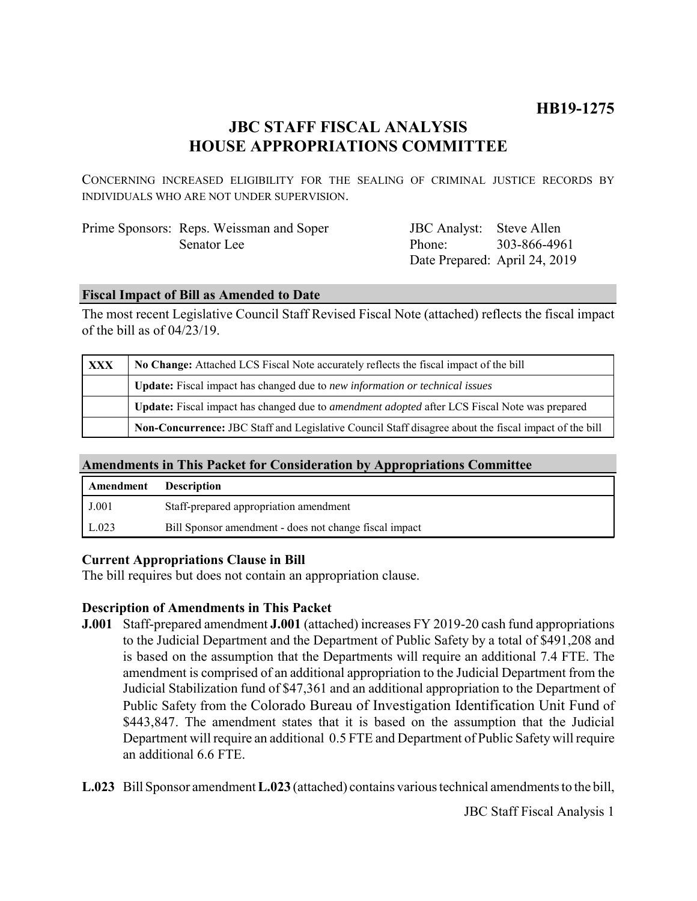## **JBC STAFF FISCAL ANALYSIS HOUSE APPROPRIATIONS COMMITTEE**

CONCERNING INCREASED ELIGIBILITY FOR THE SEALING OF CRIMINAL JUSTICE RECORDS BY INDIVIDUALS WHO ARE NOT UNDER SUPERVISION.

| Prime Sponsors: Reps. Weissman and Soper | JBC |
|------------------------------------------|-----|
| Senator Lee                              | Pho |

JBC Analyst: Steve Allen  $ne:$ Date Prepared: April 24, 2019 303-866-4961

#### **Fiscal Impact of Bill as Amended to Date**

The most recent Legislative Council Staff Revised Fiscal Note (attached) reflects the fiscal impact of the bill as of 04/23/19.

| <b>XXX</b> | No Change: Attached LCS Fiscal Note accurately reflects the fiscal impact of the bill                 |  |
|------------|-------------------------------------------------------------------------------------------------------|--|
|            | <b>Update:</b> Fiscal impact has changed due to new information or technical issues                   |  |
|            | Update: Fiscal impact has changed due to <i>amendment adopted</i> after LCS Fiscal Note was prepared  |  |
|            | Non-Concurrence: JBC Staff and Legislative Council Staff disagree about the fiscal impact of the bill |  |

#### **Amendments in This Packet for Consideration by Appropriations Committee**

| Amendment | <b>Description</b>                                     |
|-----------|--------------------------------------------------------|
| J.001     | Staff-prepared appropriation amendment                 |
| L.023     | Bill Sponsor amendment - does not change fiscal impact |

#### **Current Appropriations Clause in Bill**

The bill requires but does not contain an appropriation clause.

#### **Description of Amendments in This Packet**

**J.001** Staff-prepared amendment **J.001** (attached) increases FY 2019-20 cash fund appropriations to the Judicial Department and the Department of Public Safety by a total of \$491,208 and is based on the assumption that the Departments will require an additional 7.4 FTE. The amendment is comprised of an additional appropriation to the Judicial Department from the Judicial Stabilization fund of \$47,361 and an additional appropriation to the Department of Public Safety from the Colorado Bureau of Investigation Identification Unit Fund of \$443,847. The amendment states that it is based on the assumption that the Judicial Department will require an additional 0.5 FTE and Department of Public Safety will require an additional 6.6 FTE.

**L.023** Bill Sponsor amendment **L.023** (attached) contains various technical amendments to the bill,

JBC Staff Fiscal Analysis 1